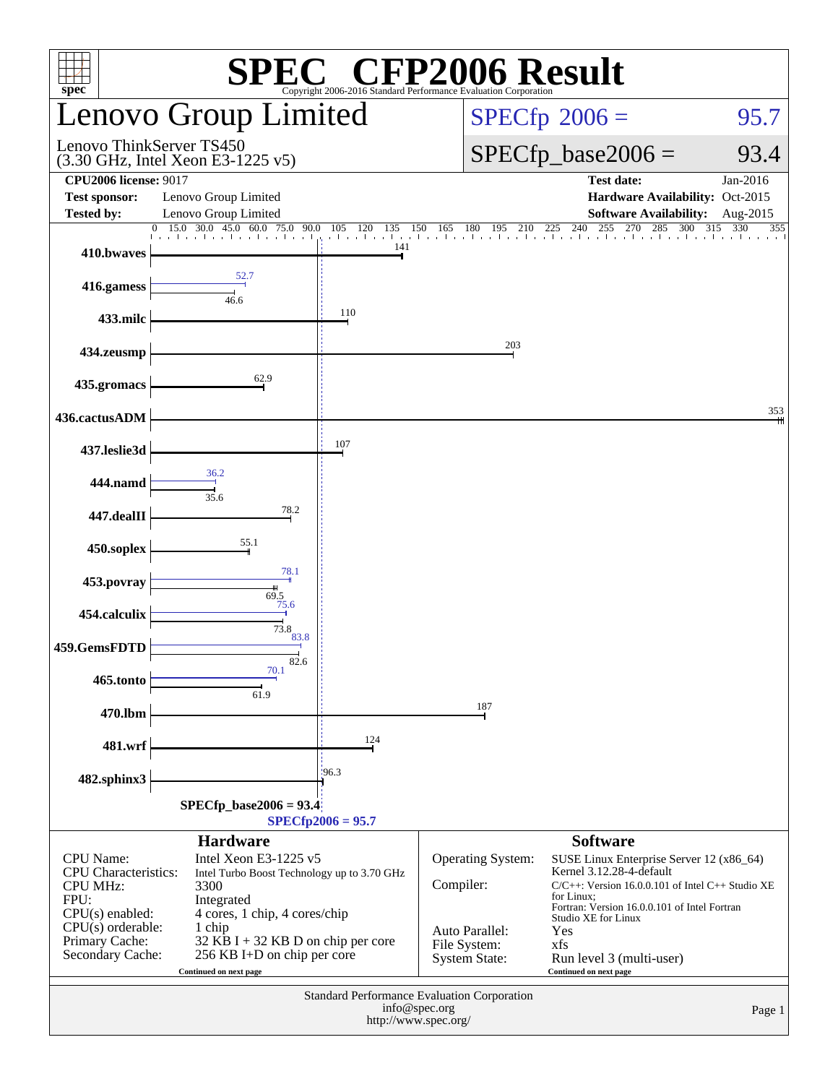| <b>SPEC<sup>®</sup></b> CFP2006 Result<br>spec <sup>®</sup><br>Copyright 2006-2016 Standard Performance Evaluation Corporation                               |                                                                                                                                                                                                                                        |                                                               |                                                                                          |                                                                                                                                                                                                                                                                                        |                                |  |  |
|--------------------------------------------------------------------------------------------------------------------------------------------------------------|----------------------------------------------------------------------------------------------------------------------------------------------------------------------------------------------------------------------------------------|---------------------------------------------------------------|------------------------------------------------------------------------------------------|----------------------------------------------------------------------------------------------------------------------------------------------------------------------------------------------------------------------------------------------------------------------------------------|--------------------------------|--|--|
| Lenovo Group Limited                                                                                                                                         |                                                                                                                                                                                                                                        |                                                               |                                                                                          | $SPECfp^{\circ}2006 =$<br>95.7                                                                                                                                                                                                                                                         |                                |  |  |
| Lenovo ThinkServer TS450<br>$(3.30 \text{ GHz}, \text{Intel Xeon E}3-1225 \text{ v}5)$                                                                       |                                                                                                                                                                                                                                        |                                                               |                                                                                          | $SPECfp\_base2006 =$<br>93.4                                                                                                                                                                                                                                                           |                                |  |  |
| <b>CPU2006 license: 9017</b><br><b>Test sponsor:</b><br><b>Tested by:</b>                                                                                    | Lenovo Group Limited<br>Lenovo Group Limited                                                                                                                                                                                           |                                                               |                                                                                          | <b>Test date:</b><br>Hardware Availability: Oct-2015<br><b>Software Availability:</b>                                                                                                                                                                                                  | Jan-2016<br>Aug-2015           |  |  |
| $\theta$<br>410.bwaves                                                                                                                                       | 15.0 30.0 45.0 60.0<br>75.0<br>90.0<br>1 1 1 1 1 1 1                                                                                                                                                                                   | 105<br>120<br>135<br>المتماري والمناري<br>$\mathbf{1}$<br>141 | 180<br>150<br>165<br>195<br>210                                                          | 240<br>270<br>$\overline{225}$<br>255<br>285<br>300                                                                                                                                                                                                                                    | $\overline{3}15$<br>330<br>355 |  |  |
| 416.gamess                                                                                                                                                   | 52.7<br>46.6                                                                                                                                                                                                                           |                                                               |                                                                                          |                                                                                                                                                                                                                                                                                        |                                |  |  |
| 433.milc                                                                                                                                                     |                                                                                                                                                                                                                                        | 110                                                           |                                                                                          |                                                                                                                                                                                                                                                                                        |                                |  |  |
| 434.zeusmp                                                                                                                                                   |                                                                                                                                                                                                                                        |                                                               | 203                                                                                      |                                                                                                                                                                                                                                                                                        |                                |  |  |
| 435.gromacs                                                                                                                                                  | 62.9                                                                                                                                                                                                                                   |                                                               |                                                                                          |                                                                                                                                                                                                                                                                                        |                                |  |  |
| 436.cactusADM                                                                                                                                                |                                                                                                                                                                                                                                        |                                                               |                                                                                          |                                                                                                                                                                                                                                                                                        | 353                            |  |  |
| 437.leslie3d                                                                                                                                                 | 36.2                                                                                                                                                                                                                                   | 107                                                           |                                                                                          |                                                                                                                                                                                                                                                                                        |                                |  |  |
| 444.namd                                                                                                                                                     | 35.6<br>78.2                                                                                                                                                                                                                           |                                                               |                                                                                          |                                                                                                                                                                                                                                                                                        |                                |  |  |
| 447.dealII                                                                                                                                                   | 55.1                                                                                                                                                                                                                                   |                                                               |                                                                                          |                                                                                                                                                                                                                                                                                        |                                |  |  |
| 450.soplex                                                                                                                                                   | 78.1                                                                                                                                                                                                                                   |                                                               |                                                                                          |                                                                                                                                                                                                                                                                                        |                                |  |  |
| 453.povray                                                                                                                                                   | 69.5<br>75.6                                                                                                                                                                                                                           |                                                               |                                                                                          |                                                                                                                                                                                                                                                                                        |                                |  |  |
| 454.calculix<br>459.GemsFDTD                                                                                                                                 | 73.8<br>83.8                                                                                                                                                                                                                           |                                                               |                                                                                          |                                                                                                                                                                                                                                                                                        |                                |  |  |
| 465.tonto                                                                                                                                                    | 82.6<br>70.1                                                                                                                                                                                                                           |                                                               |                                                                                          |                                                                                                                                                                                                                                                                                        |                                |  |  |
| 470.lbm                                                                                                                                                      | 61.9                                                                                                                                                                                                                                   |                                                               | 187                                                                                      |                                                                                                                                                                                                                                                                                        |                                |  |  |
| 481.wrf                                                                                                                                                      |                                                                                                                                                                                                                                        | 124                                                           |                                                                                          |                                                                                                                                                                                                                                                                                        |                                |  |  |
| 482.sphinx3                                                                                                                                                  |                                                                                                                                                                                                                                        | 196.3                                                         |                                                                                          |                                                                                                                                                                                                                                                                                        |                                |  |  |
| $SPECfp\_base2006 = 93.4$<br>$SPECfp2006 = 95.7$                                                                                                             |                                                                                                                                                                                                                                        |                                                               |                                                                                          |                                                                                                                                                                                                                                                                                        |                                |  |  |
|                                                                                                                                                              | <b>Hardware</b>                                                                                                                                                                                                                        |                                                               |                                                                                          | <b>Software</b>                                                                                                                                                                                                                                                                        |                                |  |  |
| <b>CPU</b> Name:<br><b>CPU</b> Characteristics:<br><b>CPU MHz:</b><br>FPU:<br>$CPU(s)$ enabled:<br>$CPU(s)$ orderable:<br>Primary Cache:<br>Secondary Cache: | Intel Xeon E3-1225 v5<br>Intel Turbo Boost Technology up to 3.70 GHz<br>3300<br>Integrated<br>4 cores, 1 chip, 4 cores/chip<br>1 chip<br>$32$ KB I + 32 KB D on chip per core<br>256 KB I+D on chip per core<br>Continued on next page |                                                               | Operating System:<br>Compiler:<br>Auto Parallel:<br>File System:<br><b>System State:</b> | SUSE Linux Enterprise Server 12 (x86_64)<br>Kernel 3.12.28-4-default<br>$C/C++$ : Version 16.0.0.101 of Intel $C++$ Studio XE<br>for Linux;<br>Fortran: Version 16.0.0.101 of Intel Fortran<br>Studio XE for Linux<br>Yes<br>xfs<br>Run level 3 (multi-user)<br>Continued on next page |                                |  |  |
| Standard Performance Evaluation Corporation<br>info@spec.org<br>http://www.spec.org/                                                                         |                                                                                                                                                                                                                                        |                                                               |                                                                                          |                                                                                                                                                                                                                                                                                        | Page 1                         |  |  |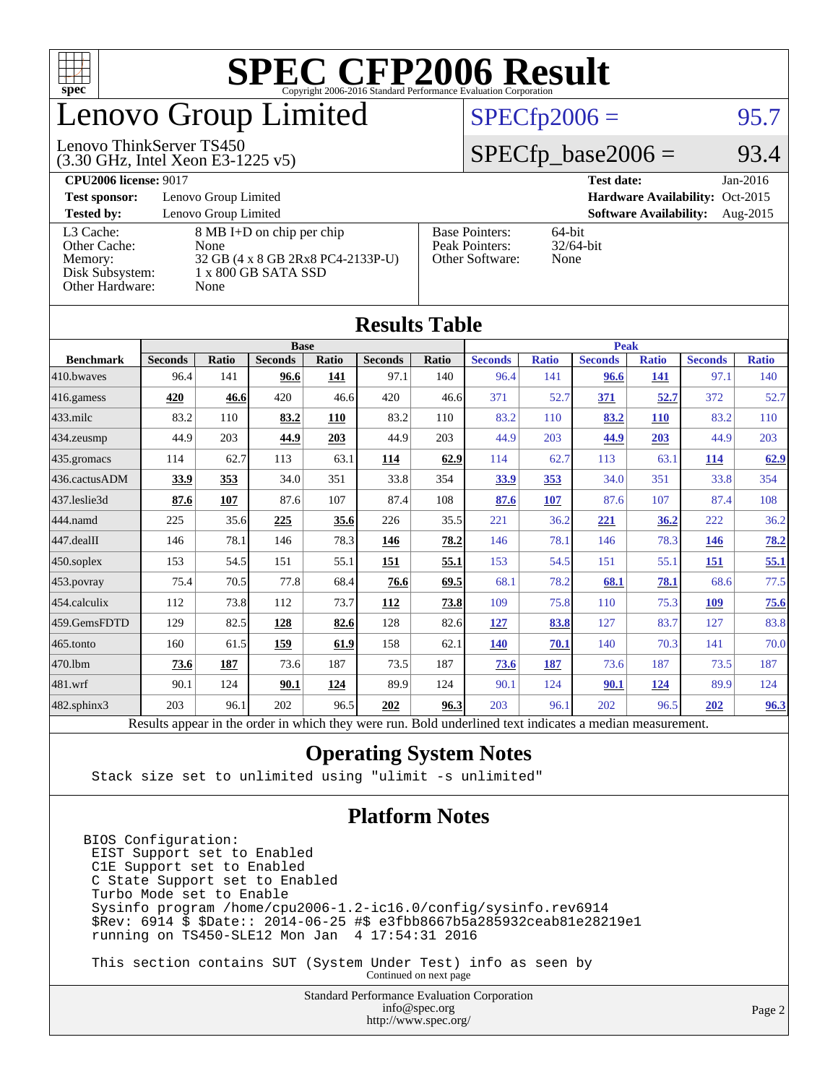

# enovo Group Limited

#### $SPECfp2006 = 95.7$  $SPECfp2006 = 95.7$

#### (3.30 GHz, Intel Xeon E3-1225 v5) Lenovo ThinkServer TS450

 $SPECfp\_base2006 = 93.4$ 

| <b>CPU2006 license: 9017</b> |                                   |                       | <b>Test date:</b><br>$Jan-2016$           |  |  |  |  |
|------------------------------|-----------------------------------|-----------------------|-------------------------------------------|--|--|--|--|
| <b>Test sponsor:</b>         | Lenovo Group Limited              |                       | Hardware Availability: Oct-2015           |  |  |  |  |
| <b>Tested by:</b>            | Lenovo Group Limited              |                       | <b>Software Availability:</b><br>Aug-2015 |  |  |  |  |
| L3 Cache:                    | 8 MB I+D on chip per chip         | <b>Base Pointers:</b> | $64$ -bit                                 |  |  |  |  |
| Other Cache:                 | None                              | Peak Pointers:        | $32/64$ -bit                              |  |  |  |  |
| Memory:                      | 32 GB (4 x 8 GB 2Rx8 PC4-2133P-U) | Other Software:       | None                                      |  |  |  |  |
| Disk Subsystem:              | 1 x 800 GB SATA SSD               |                       |                                           |  |  |  |  |
| Other Hardware:              | None                              |                       |                                           |  |  |  |  |

| Results Tavic     |                                                                                                          |       |                |       |                |             |                |              |                |              |                |              |
|-------------------|----------------------------------------------------------------------------------------------------------|-------|----------------|-------|----------------|-------------|----------------|--------------|----------------|--------------|----------------|--------------|
|                   | <b>Base</b>                                                                                              |       |                |       |                | <b>Peak</b> |                |              |                |              |                |              |
| <b>Benchmark</b>  | <b>Seconds</b>                                                                                           | Ratio | <b>Seconds</b> | Ratio | <b>Seconds</b> | Ratio       | <b>Seconds</b> | <b>Ratio</b> | <b>Seconds</b> | <b>Ratio</b> | <b>Seconds</b> | <b>Ratio</b> |
| 410.bwayes        | 96.4                                                                                                     | 141   | 96.6           | 141   | 97.1           | 140         | 96.4           | 141          | 96.6           | <b>141</b>   | 97.1           | 140          |
| $416$ .gamess     | 420                                                                                                      | 46.6  | 420            | 46.6  | 420            | 46.6        | 371            | 52.7         | 371            | 52.7         | 372            | 52.7         |
| $433$ .milc       | 83.2                                                                                                     | 110   | 83.2           | 110   | 83.2           | 110         | 83.2           | 110          | 83.2           | <b>110</b>   | 83.2           | 110          |
| $434$ . zeusmp    | 44.9                                                                                                     | 203   | 44.9           | 203   | 44.9           | 203         | 44.9           | 203          | 44.9           | 203          | 44.9           | 203          |
| $435.$ gromacs    | 114                                                                                                      | 62.7  | 113            | 63.1  | 114            | 62.9        | 114            | 62.7         | 113            | 63.1         | <u>114</u>     | 62.9         |
| 436.cactusADM     | 33.9                                                                                                     | 353   | 34.0           | 351   | 33.8           | 354         | 33.9           | 353          | 34.0           | 351          | 33.8           | 354          |
| 437.leslie3d      | 87.6                                                                                                     | 107   | 87.6           | 107   | 87.4           | 108         | 87.6           | 107          | 87.6           | 107          | 87.4           | 108          |
| 444.namd          | 225                                                                                                      | 35.6  | 225            | 35.6  | 226            | 35.5        | 221            | 36.2         | 221            | 36.2         | 222            | 36.2         |
| 447.dealII        | 146                                                                                                      | 78.1  | 146            | 78.3  | 146            | 78.2        | 146            | 78.1         | 146            | 78.3         | <u>146</u>     | 78.2         |
| $450$ .soplex     | 153                                                                                                      | 54.5  | 151            | 55.1  | <u> 151</u>    | 55.1        | 153            | 54.5         | 151            | 55.1         | <u>151</u>     | 55.1         |
| 453.povray        | 75.4                                                                                                     | 70.5  | 77.8           | 68.4  | 76.6           | 69.5        | 68.1           | 78.2         | 68.1           | 78.1         | 68.6           | 77.5         |
| 454.calculix      | 112                                                                                                      | 73.8  | 112            | 73.7  | 112            | 73.8        | 109            | 75.8         | 110            | 75.3         | <b>109</b>     | 75.6         |
| 459.GemsFDTD      | 129                                                                                                      | 82.5  | 128            | 82.6  | 128            | 82.6        | 127            | 83.8         | 127            | 83.7         | 127            | 83.8         |
| 465.tonto         | 160                                                                                                      | 61.5  | 159            | 61.9  | 158            | 62.1        | 140            | 70.1         | 140            | 70.3         | 141            | 70.0         |
| 470.1bm           | 73.6                                                                                                     | 187   | 73.6           | 187   | 73.5           | 187         | 73.6           | 187          | 73.6           | 187          | 73.5           | 187          |
| 481.wrf           | 90.1                                                                                                     | 124   | 90.1           | 124   | 89.9           | 124         | 90.1           | 124          | 90.1           | <u>124</u>   | 89.9           | 124          |
| $482$ .sphinx $3$ | 203                                                                                                      | 96.1  | 202            | 96.5  | 202            | 96.3        | 203            | 96.1         | 202            | 96.5         | 202            | 96.3         |
|                   | Results appear in the order in which they were run. Bold underlined text indicates a median measurement. |       |                |       |                |             |                |              |                |              |                |              |

#### **[Results Table](http://www.spec.org/auto/cpu2006/Docs/result-fields.html#ResultsTable)**

#### **[Operating System Notes](http://www.spec.org/auto/cpu2006/Docs/result-fields.html#OperatingSystemNotes)**

Stack size set to unlimited using "ulimit -s unlimited"

#### **[Platform Notes](http://www.spec.org/auto/cpu2006/Docs/result-fields.html#PlatformNotes)**

BIOS Configuration: EIST Support set to Enabled C1E Support set to Enabled C State Support set to Enabled Turbo Mode set to Enable Sysinfo program /home/cpu2006-1.2-ic16.0/config/sysinfo.rev6914 \$Rev: 6914 \$ \$Date:: 2014-06-25 #\$ e3fbb8667b5a285932ceab81e28219e1 running on TS450-SLE12 Mon Jan 4 17:54:31 2016

 This section contains SUT (System Under Test) info as seen by Continued on next page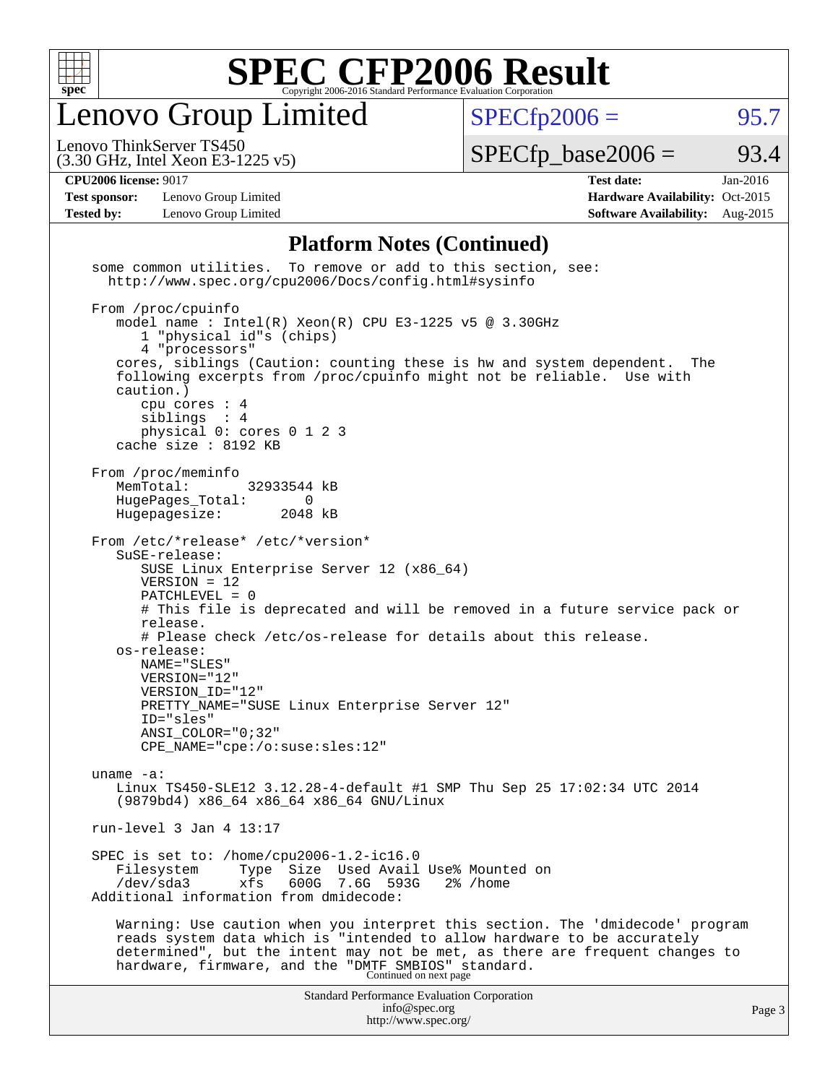

Lenovo Group Limited

 $SPECfp2006 = 95.7$  $SPECfp2006 = 95.7$ 

(3.30 GHz, Intel Xeon E3-1225 v5) Lenovo ThinkServer TS450

 $SPECTp\_base2006 = 93.4$ 

**[Test sponsor:](http://www.spec.org/auto/cpu2006/Docs/result-fields.html#Testsponsor)** Lenovo Group Limited **[Hardware Availability:](http://www.spec.org/auto/cpu2006/Docs/result-fields.html#HardwareAvailability)** Oct-2015

**[CPU2006 license:](http://www.spec.org/auto/cpu2006/Docs/result-fields.html#CPU2006license)** 9017 **[Test date:](http://www.spec.org/auto/cpu2006/Docs/result-fields.html#Testdate)** Jan-2016 **[Tested by:](http://www.spec.org/auto/cpu2006/Docs/result-fields.html#Testedby)** Lenovo Group Limited **[Software Availability:](http://www.spec.org/auto/cpu2006/Docs/result-fields.html#SoftwareAvailability)** Aug-2015

#### **[Platform Notes \(Continued\)](http://www.spec.org/auto/cpu2006/Docs/result-fields.html#PlatformNotes)**

Standard Performance Evaluation Corporation [info@spec.org](mailto:info@spec.org) <http://www.spec.org/> Page 3 some common utilities. To remove or add to this section, see: <http://www.spec.org/cpu2006/Docs/config.html#sysinfo> From /proc/cpuinfo model name:  $Intel(R)$  Xeon $(R)$  CPU E3-1225 v5 @ 3.30GHz 1 "physical id"s (chips) 4 "processors" cores, siblings (Caution: counting these is hw and system dependent. The following excerpts from /proc/cpuinfo might not be reliable. Use with caution.) cpu cores : 4 siblings : 4 physical 0: cores 0 1 2 3 cache size : 8192 KB From /proc/meminfo<br>MemTotal: 32933544 kB HugePages\_Total: 0<br>Hugepagesize: 2048 kB Hugepagesize: From /etc/\*release\* /etc/\*version\* SuSE-release: SUSE Linux Enterprise Server 12 (x86\_64) VERSION = 12 PATCHLEVEL = 0 # This file is deprecated and will be removed in a future service pack or release. # Please check /etc/os-release for details about this release. os-release: NAME="SLES" VERSION="12" VERSION\_ID="12" PRETTY\_NAME="SUSE Linux Enterprise Server 12" ID="sles" ANSI\_COLOR="0;32" CPE\_NAME="cpe:/o:suse:sles:12" uname -a: Linux TS450-SLE12 3.12.28-4-default #1 SMP Thu Sep 25 17:02:34 UTC 2014 (9879bd4) x86\_64 x86\_64 x86\_64 GNU/Linux run-level 3 Jan 4 13:17 SPEC is set to: /home/cpu2006-1.2-ic16.0 Filesystem Type Size Used Avail Use% Mounted on /dev/sda3 xfs 600G 7.6G 593G 2% /home Additional information from dmidecode: Warning: Use caution when you interpret this section. The 'dmidecode' program reads system data which is "intended to allow hardware to be accurately determined", but the intent may not be met, as there are frequent changes to hardware, firmware, and the "DMTF SMBIOS" standard.<br>Continued on next page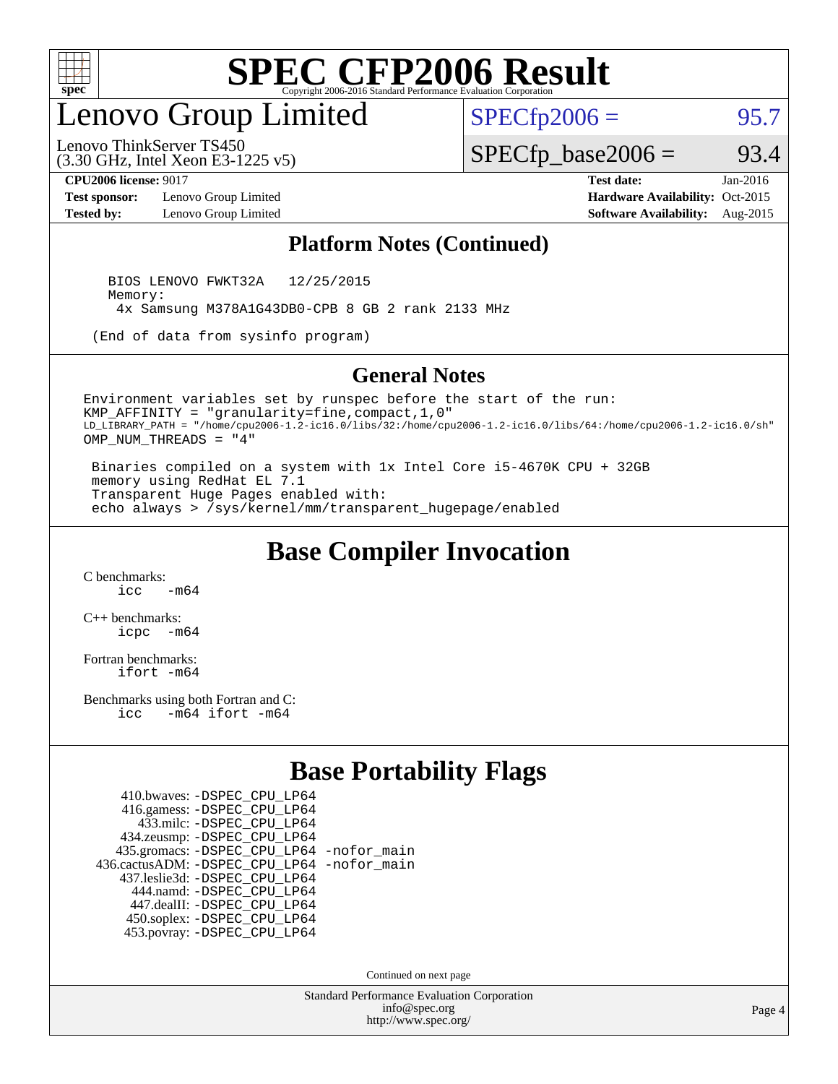

## enovo Group Limited

 $SPECTp2006 = 95.7$ 

(3.30 GHz, Intel Xeon E3-1225 v5) Lenovo ThinkServer TS450

 $SPECfp\_base2006 = 93.4$ 

**[Test sponsor:](http://www.spec.org/auto/cpu2006/Docs/result-fields.html#Testsponsor)** Lenovo Group Limited **[Hardware Availability:](http://www.spec.org/auto/cpu2006/Docs/result-fields.html#HardwareAvailability)** Oct-2015

**[CPU2006 license:](http://www.spec.org/auto/cpu2006/Docs/result-fields.html#CPU2006license)** 9017 **[Test date:](http://www.spec.org/auto/cpu2006/Docs/result-fields.html#Testdate)** Jan-2016 **[Tested by:](http://www.spec.org/auto/cpu2006/Docs/result-fields.html#Testedby)** Lenovo Group Limited **[Software Availability:](http://www.spec.org/auto/cpu2006/Docs/result-fields.html#SoftwareAvailability)** Aug-2015

#### **[Platform Notes \(Continued\)](http://www.spec.org/auto/cpu2006/Docs/result-fields.html#PlatformNotes)**

 BIOS LENOVO FWKT32A 12/25/2015 Memory: 4x Samsung M378A1G43DB0-CPB 8 GB 2 rank 2133 MHz

(End of data from sysinfo program)

#### **[General Notes](http://www.spec.org/auto/cpu2006/Docs/result-fields.html#GeneralNotes)**

Environment variables set by runspec before the start of the run: KMP\_AFFINITY = "granularity=fine,compact,1,0" LD\_LIBRARY\_PATH = "/home/cpu2006-1.2-ic16.0/libs/32:/home/cpu2006-1.2-ic16.0/libs/64:/home/cpu2006-1.2-ic16.0/sh" OMP\_NUM\_THREADS = "4"

 Binaries compiled on a system with 1x Intel Core i5-4670K CPU + 32GB memory using RedHat EL 7.1 Transparent Huge Pages enabled with: echo always > /sys/kernel/mm/transparent\_hugepage/enabled

#### **[Base Compiler Invocation](http://www.spec.org/auto/cpu2006/Docs/result-fields.html#BaseCompilerInvocation)**

[C benchmarks](http://www.spec.org/auto/cpu2006/Docs/result-fields.html#Cbenchmarks):  $\frac{1}{2}$   $\mathrm{c}$   $\mathrm{c}$   $\frac{1}{2}$   $\mathrm{m}$   $\mathrm{6}$   $\mathrm{4}$ 

[C++ benchmarks:](http://www.spec.org/auto/cpu2006/Docs/result-fields.html#CXXbenchmarks) [icpc -m64](http://www.spec.org/cpu2006/results/res2016q1/cpu2006-20160125-38886.flags.html#user_CXXbase_intel_icpc_64bit_bedb90c1146cab66620883ef4f41a67e)

[Fortran benchmarks](http://www.spec.org/auto/cpu2006/Docs/result-fields.html#Fortranbenchmarks): [ifort -m64](http://www.spec.org/cpu2006/results/res2016q1/cpu2006-20160125-38886.flags.html#user_FCbase_intel_ifort_64bit_ee9d0fb25645d0210d97eb0527dcc06e)

[Benchmarks using both Fortran and C](http://www.spec.org/auto/cpu2006/Docs/result-fields.html#BenchmarksusingbothFortranandC): [icc -m64](http://www.spec.org/cpu2006/results/res2016q1/cpu2006-20160125-38886.flags.html#user_CC_FCbase_intel_icc_64bit_0b7121f5ab7cfabee23d88897260401c) [ifort -m64](http://www.spec.org/cpu2006/results/res2016q1/cpu2006-20160125-38886.flags.html#user_CC_FCbase_intel_ifort_64bit_ee9d0fb25645d0210d97eb0527dcc06e)

#### **[Base Portability Flags](http://www.spec.org/auto/cpu2006/Docs/result-fields.html#BasePortabilityFlags)**

| 410.bwaves: - DSPEC CPU LP64                 |  |
|----------------------------------------------|--|
| 416.gamess: -DSPEC_CPU_LP64                  |  |
| 433.milc: - DSPEC_CPU LP64                   |  |
| 434.zeusmp: -DSPEC_CPU_LP64                  |  |
| 435.gromacs: -DSPEC_CPU_LP64 -nofor_main     |  |
| 436.cactusADM: - DSPEC CPU LP64 - nofor main |  |
| 437.leslie3d: -DSPEC CPU LP64                |  |
| 444.namd: - DSPEC_CPU_LP64                   |  |
| 447.dealII: -DSPEC CPU LP64                  |  |
| 450.soplex: -DSPEC_CPU_LP64                  |  |
| 453.povray: -DSPEC CPU LP64                  |  |

Continued on next page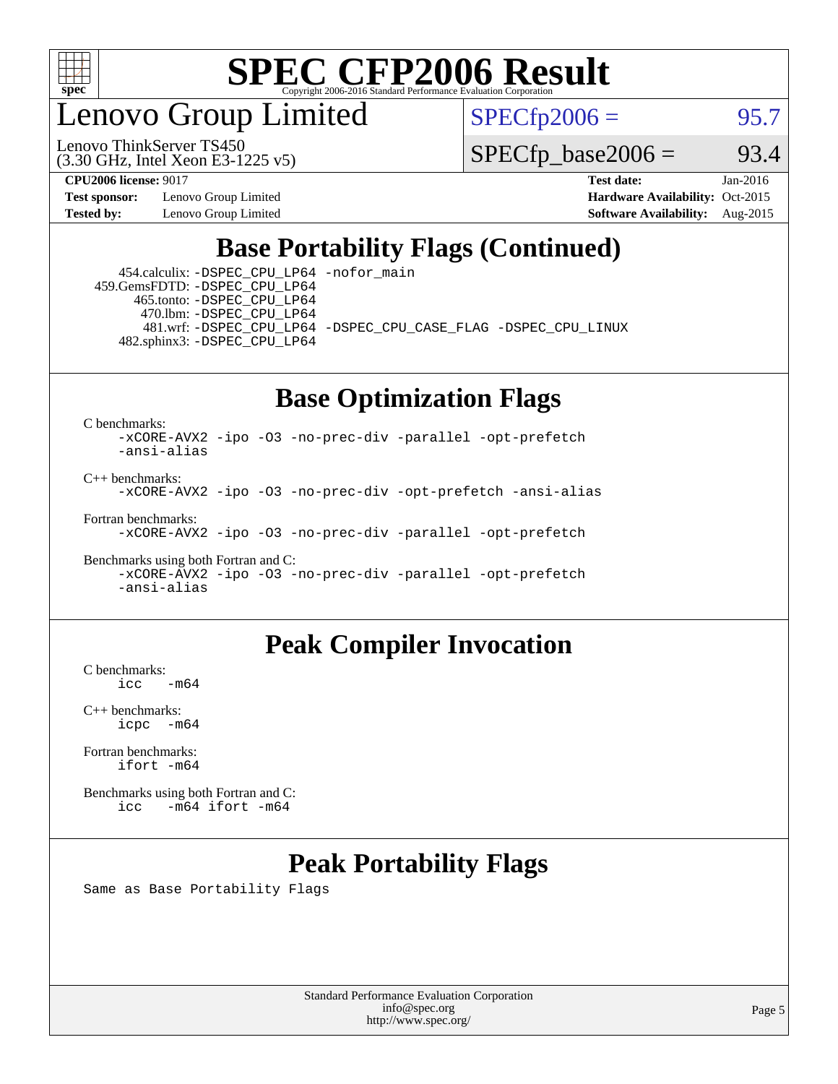

enovo Group Limited

Lenovo ThinkServer TS450

 $SPECTp2006 = 95.7$ 

(3.30 GHz, Intel Xeon E3-1225 v5)

**[Test sponsor:](http://www.spec.org/auto/cpu2006/Docs/result-fields.html#Testsponsor)** Lenovo Group Limited **[Hardware Availability:](http://www.spec.org/auto/cpu2006/Docs/result-fields.html#HardwareAvailability)** Oct-2015 **[Tested by:](http://www.spec.org/auto/cpu2006/Docs/result-fields.html#Testedby)** Lenovo Group Limited **[Software Availability:](http://www.spec.org/auto/cpu2006/Docs/result-fields.html#SoftwareAvailability)** Aug-2015

**[CPU2006 license:](http://www.spec.org/auto/cpu2006/Docs/result-fields.html#CPU2006license)** 9017 **[Test date:](http://www.spec.org/auto/cpu2006/Docs/result-fields.html#Testdate)** Jan-2016

 $SPECTp\_base2006 = 93.4$ 

### **[Base Portability Flags \(Continued\)](http://www.spec.org/auto/cpu2006/Docs/result-fields.html#BasePortabilityFlags)**

 454.calculix: [-DSPEC\\_CPU\\_LP64](http://www.spec.org/cpu2006/results/res2016q1/cpu2006-20160125-38886.flags.html#suite_basePORTABILITY454_calculix_DSPEC_CPU_LP64) [-nofor\\_main](http://www.spec.org/cpu2006/results/res2016q1/cpu2006-20160125-38886.flags.html#user_baseLDPORTABILITY454_calculix_f-nofor_main) 459.GemsFDTD: [-DSPEC\\_CPU\\_LP64](http://www.spec.org/cpu2006/results/res2016q1/cpu2006-20160125-38886.flags.html#suite_basePORTABILITY459_GemsFDTD_DSPEC_CPU_LP64) 465.tonto: [-DSPEC\\_CPU\\_LP64](http://www.spec.org/cpu2006/results/res2016q1/cpu2006-20160125-38886.flags.html#suite_basePORTABILITY465_tonto_DSPEC_CPU_LP64) 470.lbm: [-DSPEC\\_CPU\\_LP64](http://www.spec.org/cpu2006/results/res2016q1/cpu2006-20160125-38886.flags.html#suite_basePORTABILITY470_lbm_DSPEC_CPU_LP64) 481.wrf: [-DSPEC\\_CPU\\_LP64](http://www.spec.org/cpu2006/results/res2016q1/cpu2006-20160125-38886.flags.html#suite_basePORTABILITY481_wrf_DSPEC_CPU_LP64) [-DSPEC\\_CPU\\_CASE\\_FLAG](http://www.spec.org/cpu2006/results/res2016q1/cpu2006-20160125-38886.flags.html#b481.wrf_baseCPORTABILITY_DSPEC_CPU_CASE_FLAG) [-DSPEC\\_CPU\\_LINUX](http://www.spec.org/cpu2006/results/res2016q1/cpu2006-20160125-38886.flags.html#b481.wrf_baseCPORTABILITY_DSPEC_CPU_LINUX) 482.sphinx3: [-DSPEC\\_CPU\\_LP64](http://www.spec.org/cpu2006/results/res2016q1/cpu2006-20160125-38886.flags.html#suite_basePORTABILITY482_sphinx3_DSPEC_CPU_LP64)

### **[Base Optimization Flags](http://www.spec.org/auto/cpu2006/Docs/result-fields.html#BaseOptimizationFlags)**

[C benchmarks](http://www.spec.org/auto/cpu2006/Docs/result-fields.html#Cbenchmarks):

[-xCORE-AVX2](http://www.spec.org/cpu2006/results/res2016q1/cpu2006-20160125-38886.flags.html#user_CCbase_f-xAVX2_5f5fc0cbe2c9f62c816d3e45806c70d7) [-ipo](http://www.spec.org/cpu2006/results/res2016q1/cpu2006-20160125-38886.flags.html#user_CCbase_f-ipo) [-O3](http://www.spec.org/cpu2006/results/res2016q1/cpu2006-20160125-38886.flags.html#user_CCbase_f-O3) [-no-prec-div](http://www.spec.org/cpu2006/results/res2016q1/cpu2006-20160125-38886.flags.html#user_CCbase_f-no-prec-div) [-parallel](http://www.spec.org/cpu2006/results/res2016q1/cpu2006-20160125-38886.flags.html#user_CCbase_f-parallel) [-opt-prefetch](http://www.spec.org/cpu2006/results/res2016q1/cpu2006-20160125-38886.flags.html#user_CCbase_f-opt-prefetch) [-ansi-alias](http://www.spec.org/cpu2006/results/res2016q1/cpu2006-20160125-38886.flags.html#user_CCbase_f-ansi-alias)

[C++ benchmarks:](http://www.spec.org/auto/cpu2006/Docs/result-fields.html#CXXbenchmarks) [-xCORE-AVX2](http://www.spec.org/cpu2006/results/res2016q1/cpu2006-20160125-38886.flags.html#user_CXXbase_f-xAVX2_5f5fc0cbe2c9f62c816d3e45806c70d7) [-ipo](http://www.spec.org/cpu2006/results/res2016q1/cpu2006-20160125-38886.flags.html#user_CXXbase_f-ipo) [-O3](http://www.spec.org/cpu2006/results/res2016q1/cpu2006-20160125-38886.flags.html#user_CXXbase_f-O3) [-no-prec-div](http://www.spec.org/cpu2006/results/res2016q1/cpu2006-20160125-38886.flags.html#user_CXXbase_f-no-prec-div) [-opt-prefetch](http://www.spec.org/cpu2006/results/res2016q1/cpu2006-20160125-38886.flags.html#user_CXXbase_f-opt-prefetch) [-ansi-alias](http://www.spec.org/cpu2006/results/res2016q1/cpu2006-20160125-38886.flags.html#user_CXXbase_f-ansi-alias)

[Fortran benchmarks](http://www.spec.org/auto/cpu2006/Docs/result-fields.html#Fortranbenchmarks): [-xCORE-AVX2](http://www.spec.org/cpu2006/results/res2016q1/cpu2006-20160125-38886.flags.html#user_FCbase_f-xAVX2_5f5fc0cbe2c9f62c816d3e45806c70d7) [-ipo](http://www.spec.org/cpu2006/results/res2016q1/cpu2006-20160125-38886.flags.html#user_FCbase_f-ipo) [-O3](http://www.spec.org/cpu2006/results/res2016q1/cpu2006-20160125-38886.flags.html#user_FCbase_f-O3) [-no-prec-div](http://www.spec.org/cpu2006/results/res2016q1/cpu2006-20160125-38886.flags.html#user_FCbase_f-no-prec-div) [-parallel](http://www.spec.org/cpu2006/results/res2016q1/cpu2006-20160125-38886.flags.html#user_FCbase_f-parallel) [-opt-prefetch](http://www.spec.org/cpu2006/results/res2016q1/cpu2006-20160125-38886.flags.html#user_FCbase_f-opt-prefetch)

[Benchmarks using both Fortran and C](http://www.spec.org/auto/cpu2006/Docs/result-fields.html#BenchmarksusingbothFortranandC): [-xCORE-AVX2](http://www.spec.org/cpu2006/results/res2016q1/cpu2006-20160125-38886.flags.html#user_CC_FCbase_f-xAVX2_5f5fc0cbe2c9f62c816d3e45806c70d7) [-ipo](http://www.spec.org/cpu2006/results/res2016q1/cpu2006-20160125-38886.flags.html#user_CC_FCbase_f-ipo) [-O3](http://www.spec.org/cpu2006/results/res2016q1/cpu2006-20160125-38886.flags.html#user_CC_FCbase_f-O3) [-no-prec-div](http://www.spec.org/cpu2006/results/res2016q1/cpu2006-20160125-38886.flags.html#user_CC_FCbase_f-no-prec-div) [-parallel](http://www.spec.org/cpu2006/results/res2016q1/cpu2006-20160125-38886.flags.html#user_CC_FCbase_f-parallel) [-opt-prefetch](http://www.spec.org/cpu2006/results/res2016q1/cpu2006-20160125-38886.flags.html#user_CC_FCbase_f-opt-prefetch) [-ansi-alias](http://www.spec.org/cpu2006/results/res2016q1/cpu2006-20160125-38886.flags.html#user_CC_FCbase_f-ansi-alias)

#### **[Peak Compiler Invocation](http://www.spec.org/auto/cpu2006/Docs/result-fields.html#PeakCompilerInvocation)**

 $C$  benchmarks:<br>icc  $-m64$ 

[C++ benchmarks:](http://www.spec.org/auto/cpu2006/Docs/result-fields.html#CXXbenchmarks) [icpc -m64](http://www.spec.org/cpu2006/results/res2016q1/cpu2006-20160125-38886.flags.html#user_CXXpeak_intel_icpc_64bit_bedb90c1146cab66620883ef4f41a67e)

[Fortran benchmarks](http://www.spec.org/auto/cpu2006/Docs/result-fields.html#Fortranbenchmarks): [ifort -m64](http://www.spec.org/cpu2006/results/res2016q1/cpu2006-20160125-38886.flags.html#user_FCpeak_intel_ifort_64bit_ee9d0fb25645d0210d97eb0527dcc06e)

[Benchmarks using both Fortran and C](http://www.spec.org/auto/cpu2006/Docs/result-fields.html#BenchmarksusingbothFortranandC): [icc -m64](http://www.spec.org/cpu2006/results/res2016q1/cpu2006-20160125-38886.flags.html#user_CC_FCpeak_intel_icc_64bit_0b7121f5ab7cfabee23d88897260401c) [ifort -m64](http://www.spec.org/cpu2006/results/res2016q1/cpu2006-20160125-38886.flags.html#user_CC_FCpeak_intel_ifort_64bit_ee9d0fb25645d0210d97eb0527dcc06e)

### **[Peak Portability Flags](http://www.spec.org/auto/cpu2006/Docs/result-fields.html#PeakPortabilityFlags)**

Same as Base Portability Flags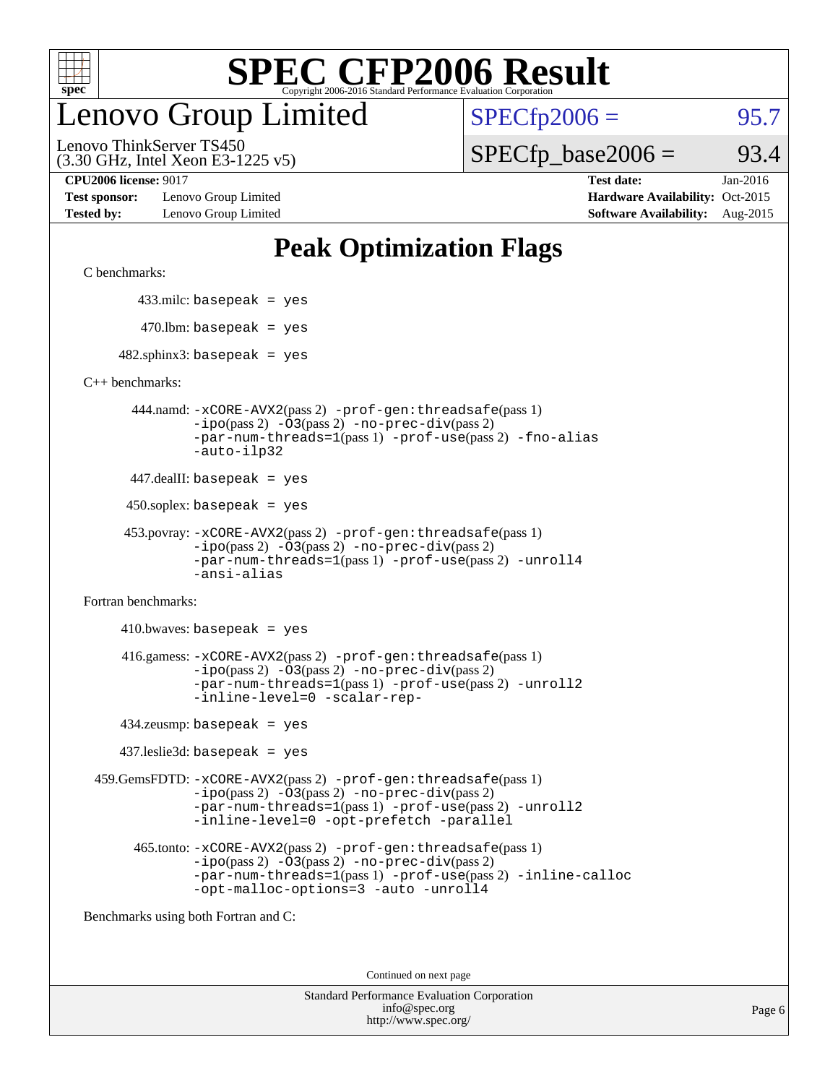

## enovo Group Limited

 $SPECfp2006 = 95.7$  $SPECfp2006 = 95.7$ 

(3.30 GHz, Intel Xeon E3-1225 v5) Lenovo ThinkServer TS450

### $SPECTp\_base2006 = 93.4$

**[Test sponsor:](http://www.spec.org/auto/cpu2006/Docs/result-fields.html#Testsponsor)** Lenovo Group Limited **[Hardware Availability:](http://www.spec.org/auto/cpu2006/Docs/result-fields.html#HardwareAvailability)** Oct-2015

**[CPU2006 license:](http://www.spec.org/auto/cpu2006/Docs/result-fields.html#CPU2006license)** 9017 **[Test date:](http://www.spec.org/auto/cpu2006/Docs/result-fields.html#Testdate)** Jan-2016 **[Tested by:](http://www.spec.org/auto/cpu2006/Docs/result-fields.html#Testedby)** Lenovo Group Limited **[Software Availability:](http://www.spec.org/auto/cpu2006/Docs/result-fields.html#SoftwareAvailability)** Aug-2015

### **[Peak Optimization Flags](http://www.spec.org/auto/cpu2006/Docs/result-fields.html#PeakOptimizationFlags)**

[C benchmarks](http://www.spec.org/auto/cpu2006/Docs/result-fields.html#Cbenchmarks):

433.milc: basepeak = yes

 $470.$ lbm: basepeak = yes

 $482$ .sphinx3: basepeak = yes

[C++ benchmarks:](http://www.spec.org/auto/cpu2006/Docs/result-fields.html#CXXbenchmarks)

 444.namd: [-xCORE-AVX2](http://www.spec.org/cpu2006/results/res2016q1/cpu2006-20160125-38886.flags.html#user_peakPASS2_CXXFLAGSPASS2_LDFLAGS444_namd_f-xAVX2_5f5fc0cbe2c9f62c816d3e45806c70d7)(pass 2) [-prof-gen:threadsafe](http://www.spec.org/cpu2006/results/res2016q1/cpu2006-20160125-38886.flags.html#user_peakPASS1_CXXFLAGSPASS1_LDFLAGS444_namd_prof_gen_21a26eb79f378b550acd7bec9fe4467a)(pass 1) [-ipo](http://www.spec.org/cpu2006/results/res2016q1/cpu2006-20160125-38886.flags.html#user_peakPASS2_CXXFLAGSPASS2_LDFLAGS444_namd_f-ipo)(pass 2) [-O3](http://www.spec.org/cpu2006/results/res2016q1/cpu2006-20160125-38886.flags.html#user_peakPASS2_CXXFLAGSPASS2_LDFLAGS444_namd_f-O3)(pass 2) [-no-prec-div](http://www.spec.org/cpu2006/results/res2016q1/cpu2006-20160125-38886.flags.html#user_peakPASS2_CXXFLAGSPASS2_LDFLAGS444_namd_f-no-prec-div)(pass 2) [-par-num-threads=1](http://www.spec.org/cpu2006/results/res2016q1/cpu2006-20160125-38886.flags.html#user_peakPASS1_CXXFLAGSPASS1_LDFLAGS444_namd_par_num_threads_786a6ff141b4e9e90432e998842df6c2)(pass 1) [-prof-use](http://www.spec.org/cpu2006/results/res2016q1/cpu2006-20160125-38886.flags.html#user_peakPASS2_CXXFLAGSPASS2_LDFLAGS444_namd_prof_use_bccf7792157ff70d64e32fe3e1250b55)(pass 2) [-fno-alias](http://www.spec.org/cpu2006/results/res2016q1/cpu2006-20160125-38886.flags.html#user_peakCXXOPTIMIZEOPTIMIZE444_namd_f-no-alias_694e77f6c5a51e658e82ccff53a9e63a) [-auto-ilp32](http://www.spec.org/cpu2006/results/res2016q1/cpu2006-20160125-38886.flags.html#user_peakCXXOPTIMIZE444_namd_f-auto-ilp32)

447.dealII: basepeak = yes

450.soplex: basepeak = yes

```
 453.povray: -xCORE-AVX2(pass 2) -prof-gen:threadsafe(pass 1)
-ipo(pass 2) -O3(pass 2) -no-prec-div(pass 2)
-par-num-threads=1(pass 1) -prof-use(pass 2) -unroll4
-ansi-alias
```
[Fortran benchmarks](http://www.spec.org/auto/cpu2006/Docs/result-fields.html#Fortranbenchmarks):

 $410.bwaves: basepeak = yes$  416.gamess: [-xCORE-AVX2](http://www.spec.org/cpu2006/results/res2016q1/cpu2006-20160125-38886.flags.html#user_peakPASS2_FFLAGSPASS2_LDFLAGS416_gamess_f-xAVX2_5f5fc0cbe2c9f62c816d3e45806c70d7)(pass 2) [-prof-gen:threadsafe](http://www.spec.org/cpu2006/results/res2016q1/cpu2006-20160125-38886.flags.html#user_peakPASS1_FFLAGSPASS1_LDFLAGS416_gamess_prof_gen_21a26eb79f378b550acd7bec9fe4467a)(pass 1)  $-i\text{po}(pass 2) -\text{O3}(pass 2)$  [-no-prec-div](http://www.spec.org/cpu2006/results/res2016q1/cpu2006-20160125-38886.flags.html#user_peakPASS2_FFLAGSPASS2_LDFLAGS416_gamess_f-no-prec-div)(pass 2) [-par-num-threads=1](http://www.spec.org/cpu2006/results/res2016q1/cpu2006-20160125-38886.flags.html#user_peakPASS1_FFLAGSPASS1_LDFLAGS416_gamess_par_num_threads_786a6ff141b4e9e90432e998842df6c2)(pass 1) [-prof-use](http://www.spec.org/cpu2006/results/res2016q1/cpu2006-20160125-38886.flags.html#user_peakPASS2_FFLAGSPASS2_LDFLAGS416_gamess_prof_use_bccf7792157ff70d64e32fe3e1250b55)(pass 2) [-unroll2](http://www.spec.org/cpu2006/results/res2016q1/cpu2006-20160125-38886.flags.html#user_peakOPTIMIZE416_gamess_f-unroll_784dae83bebfb236979b41d2422d7ec2) [-inline-level=0](http://www.spec.org/cpu2006/results/res2016q1/cpu2006-20160125-38886.flags.html#user_peakOPTIMIZE416_gamess_f-inline-level_318d07a09274ad25e8d15dbfaa68ba50) [-scalar-rep-](http://www.spec.org/cpu2006/results/res2016q1/cpu2006-20160125-38886.flags.html#user_peakOPTIMIZE416_gamess_f-disablescalarrep_abbcad04450fb118e4809c81d83c8a1d)

434.zeusmp: basepeak = yes

437.leslie3d: basepeak = yes

 459.GemsFDTD: [-xCORE-AVX2](http://www.spec.org/cpu2006/results/res2016q1/cpu2006-20160125-38886.flags.html#user_peakPASS2_FFLAGSPASS2_LDFLAGS459_GemsFDTD_f-xAVX2_5f5fc0cbe2c9f62c816d3e45806c70d7)(pass 2) [-prof-gen:threadsafe](http://www.spec.org/cpu2006/results/res2016q1/cpu2006-20160125-38886.flags.html#user_peakPASS1_FFLAGSPASS1_LDFLAGS459_GemsFDTD_prof_gen_21a26eb79f378b550acd7bec9fe4467a)(pass 1)  $-i\text{po}(pass 2) -03(pass 2) -no-prec-div(pass 2)$  $-i\text{po}(pass 2) -03(pass 2) -no-prec-div(pass 2)$  $-i\text{po}(pass 2) -03(pass 2) -no-prec-div(pass 2)$ [-par-num-threads=1](http://www.spec.org/cpu2006/results/res2016q1/cpu2006-20160125-38886.flags.html#user_peakPASS1_FFLAGSPASS1_LDFLAGS459_GemsFDTD_par_num_threads_786a6ff141b4e9e90432e998842df6c2)(pass 1) [-prof-use](http://www.spec.org/cpu2006/results/res2016q1/cpu2006-20160125-38886.flags.html#user_peakPASS2_FFLAGSPASS2_LDFLAGS459_GemsFDTD_prof_use_bccf7792157ff70d64e32fe3e1250b55)(pass 2) [-unroll2](http://www.spec.org/cpu2006/results/res2016q1/cpu2006-20160125-38886.flags.html#user_peakOPTIMIZE459_GemsFDTD_f-unroll_784dae83bebfb236979b41d2422d7ec2) [-inline-level=0](http://www.spec.org/cpu2006/results/res2016q1/cpu2006-20160125-38886.flags.html#user_peakOPTIMIZE459_GemsFDTD_f-inline-level_318d07a09274ad25e8d15dbfaa68ba50) [-opt-prefetch](http://www.spec.org/cpu2006/results/res2016q1/cpu2006-20160125-38886.flags.html#user_peakOPTIMIZE459_GemsFDTD_f-opt-prefetch) [-parallel](http://www.spec.org/cpu2006/results/res2016q1/cpu2006-20160125-38886.flags.html#user_peakOPTIMIZE459_GemsFDTD_f-parallel)

 465.tonto: [-xCORE-AVX2](http://www.spec.org/cpu2006/results/res2016q1/cpu2006-20160125-38886.flags.html#user_peakPASS2_FFLAGSPASS2_LDFLAGS465_tonto_f-xAVX2_5f5fc0cbe2c9f62c816d3e45806c70d7)(pass 2) [-prof-gen:threadsafe](http://www.spec.org/cpu2006/results/res2016q1/cpu2006-20160125-38886.flags.html#user_peakPASS1_FFLAGSPASS1_LDFLAGS465_tonto_prof_gen_21a26eb79f378b550acd7bec9fe4467a)(pass 1)  $-i\text{po}(pass 2)$   $-03(pass 2)$   $-no-prec-div(pass 2)$  $-no-prec-div(pass 2)$ [-par-num-threads=1](http://www.spec.org/cpu2006/results/res2016q1/cpu2006-20160125-38886.flags.html#user_peakPASS1_FFLAGSPASS1_LDFLAGS465_tonto_par_num_threads_786a6ff141b4e9e90432e998842df6c2)(pass 1) [-prof-use](http://www.spec.org/cpu2006/results/res2016q1/cpu2006-20160125-38886.flags.html#user_peakPASS2_FFLAGSPASS2_LDFLAGS465_tonto_prof_use_bccf7792157ff70d64e32fe3e1250b55)(pass 2) [-inline-calloc](http://www.spec.org/cpu2006/results/res2016q1/cpu2006-20160125-38886.flags.html#user_peakOPTIMIZE465_tonto_f-inline-calloc) [-opt-malloc-options=3](http://www.spec.org/cpu2006/results/res2016q1/cpu2006-20160125-38886.flags.html#user_peakOPTIMIZE465_tonto_f-opt-malloc-options_13ab9b803cf986b4ee62f0a5998c2238) [-auto](http://www.spec.org/cpu2006/results/res2016q1/cpu2006-20160125-38886.flags.html#user_peakOPTIMIZE465_tonto_f-auto) [-unroll4](http://www.spec.org/cpu2006/results/res2016q1/cpu2006-20160125-38886.flags.html#user_peakOPTIMIZE465_tonto_f-unroll_4e5e4ed65b7fd20bdcd365bec371b81f)

[Benchmarks using both Fortran and C](http://www.spec.org/auto/cpu2006/Docs/result-fields.html#BenchmarksusingbothFortranandC):

Continued on next page